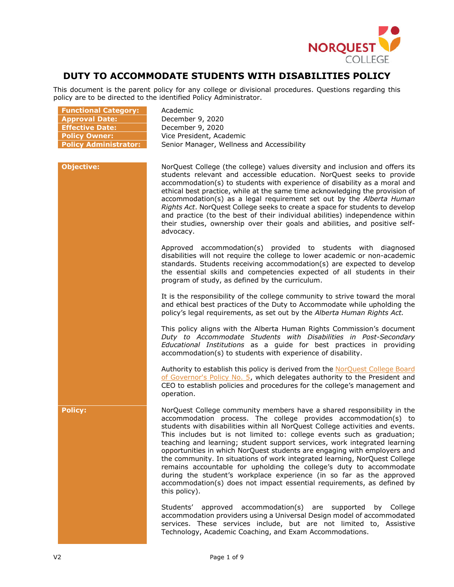

# **DUTY TO ACCOMMODATE STUDENTS WITH DISABILITIES POLICY**

This document is the parent policy for any college or divisional procedures. Questions regarding this policy are to be directed to the identified Policy Administrator.

| <b>Functional Category:</b><br><b>Approval Date:</b><br><b>Effective Date:</b><br><b>Policy Owner:</b><br><b>Policy Administrator:</b> | Academic<br>December 9, 2020<br>December 9, 2020<br>Vice President, Academic<br>Senior Manager, Wellness and Accessibility                                                                                                                                                                                                                                                                                                                                                                                                                                                                                                                                                                                                                                                             |
|----------------------------------------------------------------------------------------------------------------------------------------|----------------------------------------------------------------------------------------------------------------------------------------------------------------------------------------------------------------------------------------------------------------------------------------------------------------------------------------------------------------------------------------------------------------------------------------------------------------------------------------------------------------------------------------------------------------------------------------------------------------------------------------------------------------------------------------------------------------------------------------------------------------------------------------|
| <b>Objective:</b>                                                                                                                      | NorQuest College (the college) values diversity and inclusion and offers its<br>students relevant and accessible education. NorQuest seeks to provide<br>accommodation(s) to students with experience of disability as a moral and<br>ethical best practice, while at the same time acknowledging the provision of<br>accommodation(s) as a legal requirement set out by the Alberta Human<br>Rights Act. NorQuest College seeks to create a space for students to develop<br>and practice (to the best of their individual abilities) independence within<br>their studies, ownership over their goals and abilities, and positive self-<br>advocacy.                                                                                                                                 |
|                                                                                                                                        | Approved accommodation(s) provided to students with diagnosed<br>disabilities will not require the college to lower academic or non-academic<br>standards. Students receiving accommodation(s) are expected to develop<br>the essential skills and competencies expected of all students in their<br>program of study, as defined by the curriculum.                                                                                                                                                                                                                                                                                                                                                                                                                                   |
|                                                                                                                                        | It is the responsibility of the college community to strive toward the moral<br>and ethical best practices of the Duty to Accommodate while upholding the<br>policy's legal requirements, as set out by the Alberta Human Rights Act.                                                                                                                                                                                                                                                                                                                                                                                                                                                                                                                                                  |
|                                                                                                                                        | This policy aligns with the Alberta Human Rights Commission's document<br>Duty to Accommodate Students with Disabilities in Post-Secondary<br>Educational Institutions as a guide for best practices in providing<br>accommodation(s) to students with experience of disability.                                                                                                                                                                                                                                                                                                                                                                                                                                                                                                       |
|                                                                                                                                        | Authority to establish this policy is derived from the NorQuest College Board<br>of Governor's Policy No. 5, which delegates authority to the President and<br>CEO to establish policies and procedures for the college's management and<br>operation.                                                                                                                                                                                                                                                                                                                                                                                                                                                                                                                                 |
| <b>Policy:</b>                                                                                                                         | NorQuest College community members have a shared responsibility in the<br>accommodation process. The college provides accommodation(s) to<br>students with disabilities within all NorQuest College activities and events.<br>This includes but is not limited to: college events such as graduation;<br>teaching and learning; student support services, work integrated learning<br>opportunities in which NorQuest students are engaging with employers and<br>the community. In situations of work integrated learning, NorQuest College<br>remains accountable for upholding the college's duty to accommodate<br>during the student's workplace experience (in so far as the approved<br>accommodation(s) does not impact essential requirements, as defined by<br>this policy). |
|                                                                                                                                        | Students' approved accommodation(s) are supported<br>by College<br>accommodation providers using a Universal Design model of accommodated<br>services. These services include, but are not limited to, Assistive<br>Technology, Academic Coaching, and Exam Accommodations.                                                                                                                                                                                                                                                                                                                                                                                                                                                                                                            |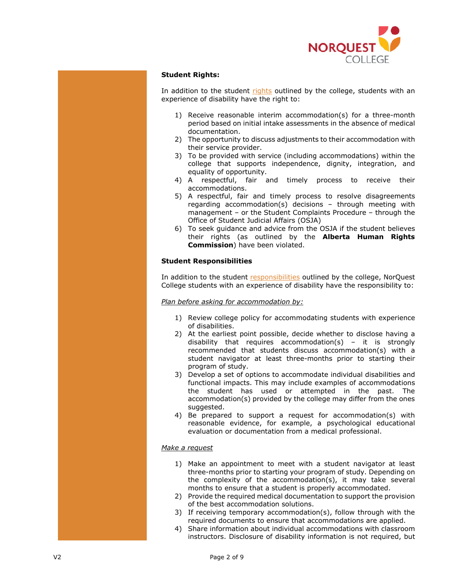

## **Student Rights:**

In addition to the student rights outlined by the college, students with an experience of disability have the right to:

- 1) Receive reasonable interim accommodation(s) for a three-month period based on initial intake assessments in the absence of medical documentation.
- 2) The opportunity to discuss adjustments to their accommodation with their service provider.
- 3) To be provided with service (including accommodations) within the college that supports independence, dignity, integration, and equality of opportunity.
- 4) A respectful, fair and timely process to receive their accommodations.
- 5) A respectful, fair and timely process to resolve disagreements regarding accommodation(s) decisions – through meeting with management – or the Student Complaints Procedure – through the Office of Student Judicial Affairs (OSJA)
- 6) To seek guidance and advice from the OSJA if the student believes their rights (as outlined by the **Alberta Human Rights Commission**) have been violated.

## **Student Responsibilities**

In addition to the student responsibilities outlined by the college, NorQuest College students with an experience of disability have the responsibility to:

*Plan before asking for accommodation by:*

- 1) Review college policy for accommodating students with experience of disabilities.
- 2) At the earliest point possible, decide whether to disclose having a disability that requires accommodation(s) – it is strongly recommended that students discuss accommodation(s) with a student navigator at least three-months prior to starting their program of study.
- 3) Develop a set of options to accommodate individual disabilities and functional impacts. This may include examples of accommodations the student has used or attempted in the past. The accommodation(s) provided by the college may differ from the ones suggested.
- 4) Be prepared to support a request for accommodation(s) with reasonable evidence, for example, a psychological educational evaluation or documentation from a medical professional.

## *Make a request*

- 1) Make an appointment to meet with a student navigator at least three-months prior to starting your program of study. Depending on the complexity of the accommodation(s), it may take several months to ensure that a student is properly accommodated.
- 2) Provide the required medical documentation to support the provision of the best accommodation solutions.
- 3) If receiving temporary accommodation(s), follow through with the required documents to ensure that accommodations are applied.
- 4) Share information about individual accommodations with classroom instructors. Disclosure of disability information is not required, but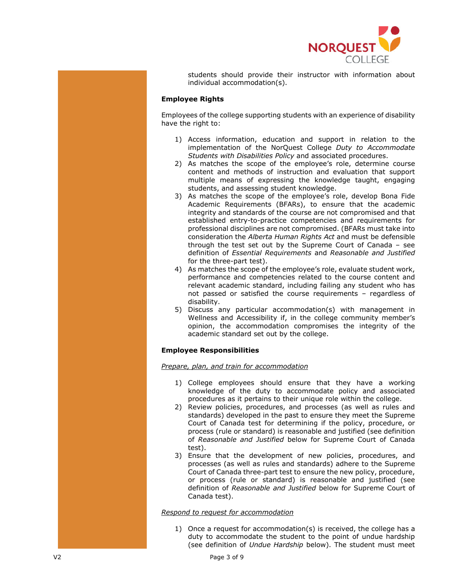

students should provide their instructor with information about individual accommodation(s).

## **Employee Rights**

Employees of the college supporting students with an experience of disability have the right to:

- 1) Access information, education and support in relation to the implementation of the NorQuest College *Duty to Accommodate Students with Disabilities Policy* and associated procedures.
- 2) As matches the scope of the employee's role, determine course content and methods of instruction and evaluation that support multiple means of expressing the knowledge taught, engaging students, and assessing student knowledge.
- 3) As matches the scope of the employee's role, develop Bona Fide Academic Requirements (BFARs), to ensure that the academic integrity and standards of the course are not compromised and that established entry-to-practice competencies and requirements for professional disciplines are not compromised. (BFARs must take into consideration the *Alberta Human Rights Act* and must be defensible through the test set out by the Supreme Court of Canada – see definition of *Essential Requirements* and *Reasonable and Justified*  for the three-part test).
- 4) As matches the scope of the employee's role, evaluate student work, performance and competencies related to the course content and relevant academic standard, including failing any student who has not passed or satisfied the course requirements – regardless of disability.
- 5) Discuss any particular accommodation(s) with management in Wellness and Accessibility if, in the college community member's opinion, the accommodation compromises the integrity of the academic standard set out by the college.

## **Employee Responsibilities**

## *Prepare, plan, and train for accommodation*

- 1) College employees should ensure that they have a working knowledge of the duty to accommodate policy and associated procedures as it pertains to their unique role within the college.
- 2) Review policies, procedures, and processes (as well as rules and standards) developed in the past to ensure they meet the Supreme Court of Canada test for determining if the policy, procedure, or process (rule or standard) is reasonable and justified (see definition of *Reasonable and Justified* below for Supreme Court of Canada test).
- 3) Ensure that the development of new policies, procedures, and processes (as well as rules and standards) adhere to the Supreme Court of Canada three-part test to ensure the new policy, procedure, or process (rule or standard) is reasonable and justified (see definition of *Reasonable and Justified* below for Supreme Court of Canada test).

### *Respond to request for accommodation*

1) Once a request for accommodation(s) is received, the college has a duty to accommodate the student to the point of undue hardship (see definition of *Undue Hardship* below). The student must meet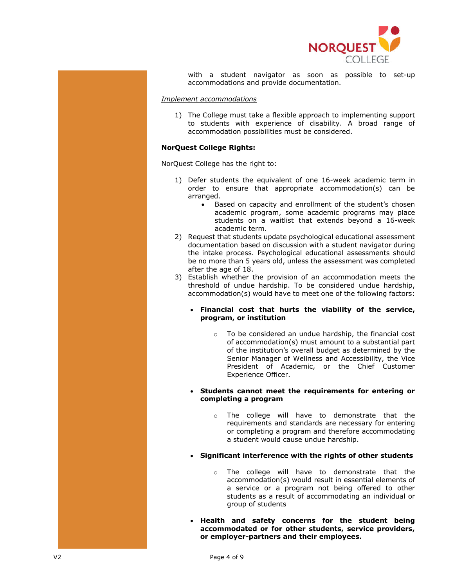

with a student navigator as soon as possible to set-up accommodations and provide documentation.

#### *Implement accommodations*

1) The College must take a flexible approach to implementing support to students with experience of disability. A broad range of accommodation possibilities must be considered.

## **NorQuest College Rights:**

NorQuest College has the right to:

- 1) Defer students the equivalent of one 16-week academic term in order to ensure that appropriate accommodation(s) can be arranged.
	- Based on capacity and enrollment of the student's chosen academic program, some academic programs may place students on a waitlist that extends beyond a 16-week academic term.
- 2) Request that students update psychological educational assessment documentation based on discussion with a student navigator during the intake process. Psychological educational assessments should be no more than 5 years old, unless the assessment was completed after the age of 18.
- 3) Establish whether the provision of an accommodation meets the threshold of undue hardship. To be considered undue hardship, accommodation(s) would have to meet one of the following factors:
	- **Financial cost that hurts the viability of the service, program, or institution**
		- o To be considered an undue hardship, the financial cost of accommodation(s) must amount to a substantial part of the institution's overall budget as determined by the Senior Manager of Wellness and Accessibility, the Vice President of Academic, or the Chief Customer Experience Officer.

#### **Students cannot meet the requirements for entering or completing a program**

o The college will have to demonstrate that the requirements and standards are necessary for entering or completing a program and therefore accommodating a student would cause undue hardship.

## **Significant interference with the rights of other students**

- o The college will have to demonstrate that the accommodation(s) would result in essential elements of a service or a program not being offered to other students as a result of accommodating an individual or group of students
- **Health and safety concerns for the student being accommodated or for other students, service providers, or employer-partners and their employees.**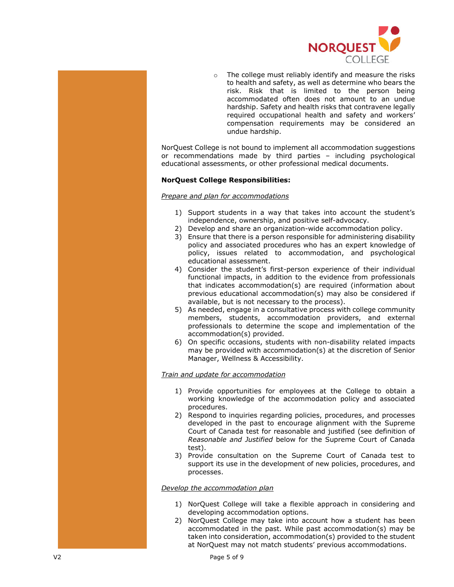

o The college must reliably identify and measure the risks to health and safety, as well as determine who bears the risk. Risk that is limited to the person being accommodated often does not amount to an undue hardship. Safety and health risks that contravene legally required occupational health and safety and workers' compensation requirements may be considered an undue hardship.

NorQuest College is not bound to implement all accommodation suggestions or recommendations made by third parties – including psychological educational assessments, or other professional medical documents.

## **NorQuest College Responsibilities:**

### *Prepare and plan for accommodations*

- 1) Support students in a way that takes into account the student's independence, ownership, and positive self-advocacy.
- 2) Develop and share an organization-wide accommodation policy.
- 3) Ensure that there is a person responsible for administering disability policy and associated procedures who has an expert knowledge of policy, issues related to accommodation, and psychological educational assessment.
- 4) Consider the student's first-person experience of their individual functional impacts, in addition to the evidence from professionals that indicates accommodation(s) are required (information about previous educational accommodation(s) may also be considered if available, but is not necessary to the process).
- 5) As needed, engage in a consultative process with college community members, students, accommodation providers, and external professionals to determine the scope and implementation of the accommodation(s) provided.
- 6) On specific occasions, students with non-disability related impacts may be provided with accommodation(s) at the discretion of Senior Manager, Wellness & Accessibility.

## *Train and update for accommodation*

- 1) Provide opportunities for employees at the College to obtain a working knowledge of the accommodation policy and associated procedures.
- 2) Respond to inquiries regarding policies, procedures, and processes developed in the past to encourage alignment with the Supreme Court of Canada test for reasonable and justified (see definition of *Reasonable and Justified* below for the Supreme Court of Canada test).
- 3) Provide consultation on the Supreme Court of Canada test to support its use in the development of new policies, procedures, and processes.

### *Develop the accommodation plan*

- 1) NorQuest College will take a flexible approach in considering and developing accommodation options.
- 2) NorQuest College may take into account how a student has been accommodated in the past. While past accommodation(s) may be taken into consideration, accommodation(s) provided to the student at NorQuest may not match students' previous accommodations.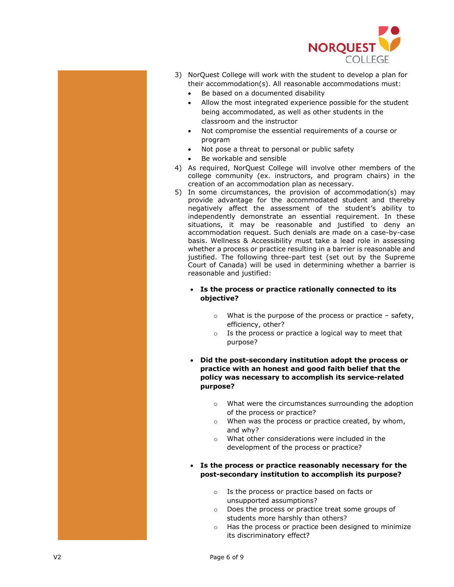

- 3) NorQuest College will work with the student to develop a plan for their accommodation(s). All reasonable accommodations must:
	- Be based on a documented disability
	- Allow the most integrated experience possible for the student being accommodated, as well as other students in the classroom and the instructor
	- Not compromise the essential requirements of a course or program
	- Not pose a threat to personal or public safety
	- Be workable and sensible
- 4) As required, NorQuest College will involve other members of the college community (ex. instructors, and program chairs) in the creation of an accommodation plan as necessary.
- 5) In some circumstances, the provision of accommodation(s) may provide advantage for the accommodated student and thereby negatively affect the assessment of the student's ability to independently demonstrate an essential requirement. In these situations, it may be reasonable and justified to deny an accommodation request. Such denials are made on a case-by-case basis. Wellness & Accessibility must take a lead role in assessing whether a process or practice resulting in a barrier is reasonable and justified. The following three-part test (set out by the Supreme Court of Canada) will be used in determining whether a barrier is reasonable and justified:

## **Is the process or practice rationally connected to its objective?**

- $\circ$  What is the purpose of the process or practice safety, efficiency, other?
- o Is the process or practice a logical way to meet that purpose?

## **Did the post-secondary institution adopt the process or practice with an honest and good faith belief that the policy was necessary to accomplish its service-related purpose?**

- o What were the circumstances surrounding the adoption of the process or practice?
- o When was the process or practice created, by whom, and why?
- o What other considerations were included in the development of the process or practice?
- **Is the process or practice reasonably necessary for the post-secondary institution to accomplish its purpose?**
	- o Is the process or practice based on facts or unsupported assumptions?
	- o Does the process or practice treat some groups of students more harshly than others?
	- o Has the process or practice been designed to minimize its discriminatory effect?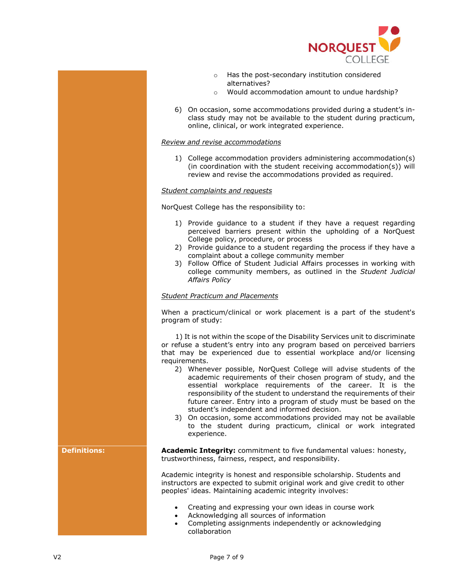

- o Has the post-secondary institution considered alternatives?
- o Would accommodation amount to undue hardship?
- 6) On occasion, some accommodations provided during a student's inclass study may not be available to the student during practicum, online, clinical, or work integrated experience.

## *Review and revise accommodations*

1) College accommodation providers administering accommodation(s) (in coordination with the student receiving accommodation(s)) will review and revise the accommodations provided as required.

## *Student complaints and requests*

NorQuest College has the responsibility to:

- 1) Provide guidance to a student if they have a request regarding perceived barriers present within the upholding of a NorQuest College policy, procedure, or process
- 2) Provide guidance to a student regarding the process if they have a complaint about a college community member
- 3) Follow Office of Student Judicial Affairs processes in working with college community members, as outlined in the *Student Judicial Affairs Policy*

### *Student Practicum and Placements*

When a practicum/clinical or work placement is a part of the student's program of study:

 1) It is not within the scope of the Disability Services unit to discriminate or refuse a student's entry into any program based on perceived barriers that may be experienced due to essential workplace and/or licensing requirements.

- 2) Whenever possible, NorQuest College will advise students of the academic requirements of their chosen program of study, and the essential workplace requirements of the career. It is the responsibility of the student to understand the requirements of their future career. Entry into a program of study must be based on the student's independent and informed decision.
- 3) On occasion, some accommodations provided may not be available to the student during practicum, clinical or work integrated experience.

**Definitions: Academic Integrity:** commitment to five fundamental values: honesty, trustworthiness, fairness, respect, and responsibility.

> Academic integrity is honest and responsible scholarship. Students and instructors are expected to submit original work and give credit to other peoples' ideas. Maintaining academic integrity involves:

- Creating and expressing your own ideas in course work
- Acknowledging all sources of information
- Completing assignments independently or acknowledging collaboration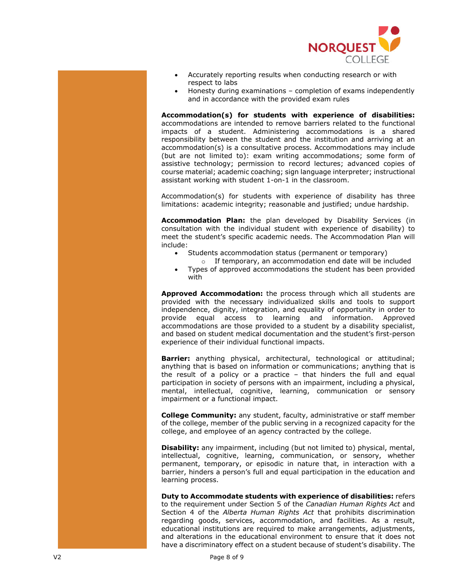

- Accurately reporting results when conducting research or with respect to labs
- Honesty during examinations completion of exams independently and in accordance with the provided exam rules

**Accommodation(s) for students with experience of disabilities:**  accommodations are intended to remove barriers related to the functional impacts of a student. Administering accommodations is a shared responsibility between the student and the institution and arriving at an accommodation(s) is a consultative process. Accommodations may include (but are not limited to): exam writing accommodations; some form of assistive technology; permission to record lectures; advanced copies of course material; academic coaching; sign language interpreter; instructional assistant working with student 1-on-1 in the classroom.

Accommodation(s) for students with experience of disability has three limitations: academic integrity; reasonable and justified; undue hardship.

**Accommodation Plan:** the plan developed by Disability Services (in consultation with the individual student with experience of disability) to meet the student's specific academic needs. The Accommodation Plan will include:

- Students accommodation status (permanent or temporary)
	- o If temporary, an accommodation end date will be included
- Types of approved accommodations the student has been provided with

**Approved Accommodation:** the process through which all students are provided with the necessary individualized skills and tools to support independence, dignity, integration, and equality of opportunity in order to provide equal access to learning and information. Approved accommodations are those provided to a student by a disability specialist, and based on student medical documentation and the student's first-person experience of their individual functional impacts.

**Barrier:** anything physical, architectural, technological or attitudinal; anything that is based on information or communications; anything that is the result of a policy or a practice – that hinders the full and equal participation in society of persons with an impairment, including a physical, mental, intellectual, cognitive, learning, communication or sensory impairment or a functional impact.

**College Community:** any student, faculty, administrative or staff member of the college, member of the public serving in a recognized capacity for the college, and employee of an agency contracted by the college.

**Disability:** any impairment, including (but not limited to) physical, mental, intellectual, cognitive, learning, communication, or sensory, whether permanent, temporary, or episodic in nature that, in interaction with a barrier, hinders a person's full and equal participation in the education and learning process.

**Duty to Accommodate students with experience of disabilities:** refers to the requirement under Section 5 of the *Canadian Human Rights Act* and Section 4 of the *Alberta Human Rights Act* that prohibits discrimination regarding goods, services, accommodation, and facilities. As a result, educational institutions are required to make arrangements, adjustments, and alterations in the educational environment to ensure that it does not have a discriminatory effect on a student because of student's disability. The